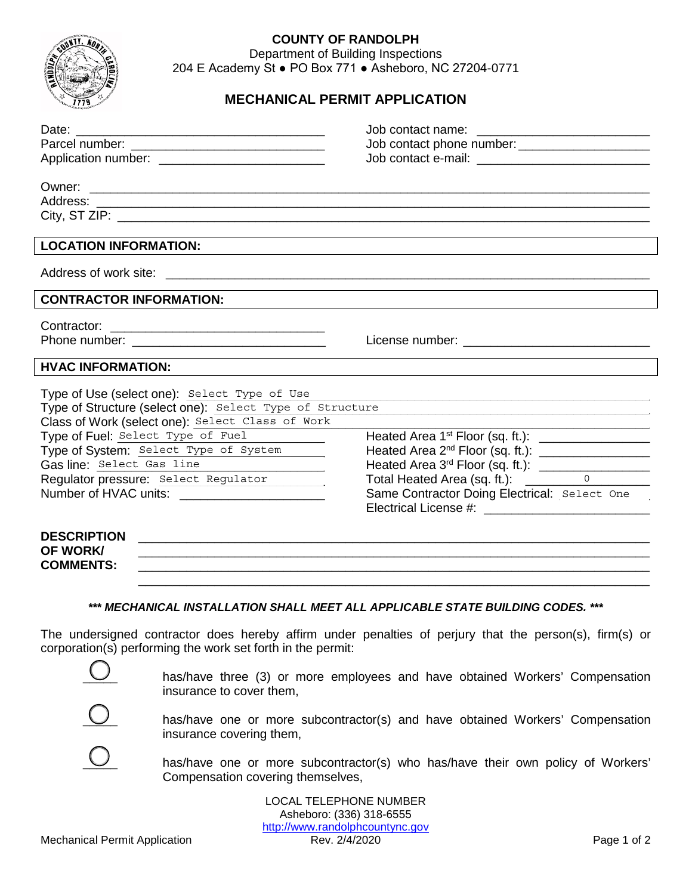

## **COUNTY OF RANDOLPH**

Department of Building Inspections 204 E Academy St ● PO Box 771 ● Asheboro, NC 27204-0771

## **MECHANICAL PERMIT APPLICATION**

| Application number: ______________________________                                                                                                                                                                                                                                                              | Job contact phone number: _______________________                                                                                                                                     |
|-----------------------------------------------------------------------------------------------------------------------------------------------------------------------------------------------------------------------------------------------------------------------------------------------------------------|---------------------------------------------------------------------------------------------------------------------------------------------------------------------------------------|
|                                                                                                                                                                                                                                                                                                                 |                                                                                                                                                                                       |
| <b>LOCATION INFORMATION:</b>                                                                                                                                                                                                                                                                                    |                                                                                                                                                                                       |
|                                                                                                                                                                                                                                                                                                                 |                                                                                                                                                                                       |
| <b>CONTRACTOR INFORMATION:</b>                                                                                                                                                                                                                                                                                  |                                                                                                                                                                                       |
|                                                                                                                                                                                                                                                                                                                 |                                                                                                                                                                                       |
| <b>HVAC INFORMATION:</b>                                                                                                                                                                                                                                                                                        |                                                                                                                                                                                       |
| Type of Use (select one): Select Type of Use<br>Type of Structure (select one): Select Type of Structure<br>Class of Work (select one): Select Class of Work<br>Type of Fuel: Select Type of Fuel<br>Type of System: Select Type of System<br>Gas line: Select Gas line<br>Requiator pressure: Select Regulator | Heated Area 1 <sup>st</sup> Floor (sq. ft.): __________________<br>Heated Area 2 <sup>nd</sup> Floor (sq. ft.): _____________________<br>Same Contractor Doing Electrical: Select One |
| <b>DESCRIPTION</b><br><b>OF WORK/</b><br><b>COMMENTS:</b>                                                                                                                                                                                                                                                       |                                                                                                                                                                                       |
| *** MECHANICAL INSTALLATION SHALL MEET ALL APPLICABLE STATE BUILDING CODES. ***                                                                                                                                                                                                                                 |                                                                                                                                                                                       |
| The undersigned contractor does hereby affirm under penalties of perjury that the person(s), firm(s) or<br>corporation(s) performing the work set forth in the permit:                                                                                                                                          |                                                                                                                                                                                       |
| has/have three (3) or more employees and have obtained Workers' Compensation<br>insurance to cover them,                                                                                                                                                                                                        |                                                                                                                                                                                       |



has/have one or more subcontractor(s) and have obtained Workers' Compensation<br>insurance covering them,<br>has/have one or more subcontractor(s) who has/have their own policy of Workers' insurance covering them,



has/have one or more subcontractor(s) who has/have their own policy of Workers' Compensation covering themselves,

LOCAL TELEPHONE NUMBER Asheboro: (336) 318-6555 http://www.randolphcountync.gov<br>Rev. 2/4/2020 Mechanical Permit Application **Rev. 2/4/2020** Rev. 2/4/2020